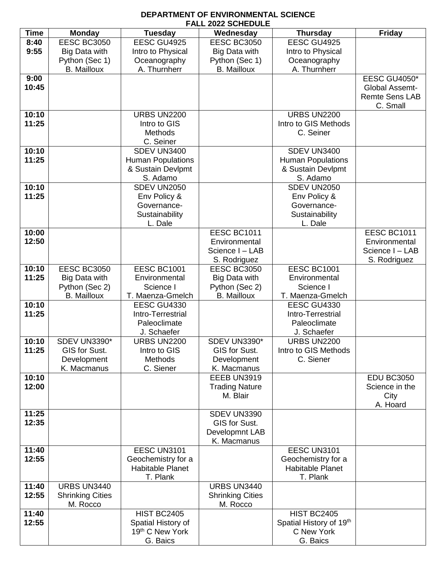## **DEPARTMENT OF ENVIRONMENTAL SCIENCE FALL 2022 SCHEDULE**

| <b>Time</b> | <b>Monday</b>           | <b>Tuesday</b>           | Wednesday               | <b>Thursday</b>          | <b>Friday</b>         |
|-------------|-------------------------|--------------------------|-------------------------|--------------------------|-----------------------|
| 8:40        | <b>EESC BC3050</b>      | EESC GU4925              | <b>EESC BC3050</b>      | EESC GU4925              |                       |
| 9:55        | <b>Big Data with</b>    | Intro to Physical        | Big Data with           | Intro to Physical        |                       |
|             | Python (Sec 1)          | Oceanography             | Python (Sec 1)          | Oceanography             |                       |
|             | <b>B.</b> Mailloux      | A. Thurnherr             | <b>B.</b> Mailloux      | A. Thurnherr             |                       |
| 9:00        |                         |                          |                         |                          | <b>EESC GU4050*</b>   |
| 10:45       |                         |                          |                         |                          | <b>Global Assemt-</b> |
|             |                         |                          |                         |                          | <b>Remte Sens LAB</b> |
|             |                         |                          |                         |                          | C. Small              |
| 10:10       |                         | <b>URBS UN2200</b>       |                         | <b>URBS UN2200</b>       |                       |
| 11:25       |                         | Intro to GIS             |                         | Intro to GIS Methods     |                       |
|             |                         | <b>Methods</b>           |                         | C. Seiner                |                       |
|             |                         | C. Seiner                |                         |                          |                       |
| 10:10       |                         | SDEV UN3400              |                         | SDEV UN3400              |                       |
| 11:25       |                         | <b>Human Populations</b> |                         | <b>Human Populations</b> |                       |
|             |                         | & Sustain Devlpmt        |                         | & Sustain Devlpmt        |                       |
|             |                         | S. Adamo                 |                         | S. Adamo                 |                       |
| 10:10       |                         | SDEV UN2050              |                         | SDEV UN2050              |                       |
| 11:25       |                         | Env Policy &             |                         | Env Policy &             |                       |
|             |                         | Governance-              |                         | Governance-              |                       |
|             |                         | Sustainability           |                         | Sustainability           |                       |
|             |                         | L. Dale                  |                         | L. Dale                  |                       |
| 10:00       |                         |                          | EESC BC1011             |                          | EESC BC1011           |
| 12:50       |                         |                          | Environmental           |                          | Environmental         |
|             |                         |                          | Science I - LAB         |                          | Science I - LAB       |
|             |                         |                          | S. Rodriguez            |                          | S. Rodriguez          |
| 10:10       | <b>EESC BC3050</b>      | EESC BC1001              | <b>EESC BC3050</b>      | EESC BC1001              |                       |
| 11:25       | <b>Big Data with</b>    | Environmental            | Big Data with           | Environmental            |                       |
|             | Python (Sec 2)          | Science I                | Python (Sec 2)          | Science I                |                       |
|             | <b>B.</b> Mailloux      | T. Maenza-Gmelch         | <b>B.</b> Mailloux      | T. Maenza-Gmelch         |                       |
| 10:10       |                         | <b>EESC GU4330</b>       |                         | <b>EESC GU4330</b>       |                       |
| 11:25       |                         | Intro-Terrestrial        |                         | Intro-Terrestrial        |                       |
|             |                         | Paleoclimate             |                         | Paleoclimate             |                       |
|             |                         | J. Schaefer              |                         | J. Schaefer              |                       |
| 10:10       | <b>SDEV UN3390*</b>     | <b>URBS UN2200</b>       | SDEV UN3390*            | <b>URBS UN2200</b>       |                       |
| 11:25       | GIS for Sust.           | Intro to GIS             | GIS for Sust.           | Intro to GIS Methods     |                       |
|             | Development             | <b>Methods</b>           | Development             | C. Siener                |                       |
|             | K. Macmanus             | C. Siener                | K. Macmanus             |                          |                       |
| 10:10       |                         |                          | EEEB UN3919             |                          | <b>EDU BC3050</b>     |
| 12:00       |                         |                          | <b>Trading Nature</b>   |                          | Science in the        |
|             |                         |                          | M. Blair                |                          | City                  |
|             |                         |                          |                         |                          | A. Hoard              |
| 11:25       |                         |                          | SDEV UN3390             |                          |                       |
| 12:35       |                         |                          | GIS for Sust.           |                          |                       |
|             |                         |                          | Developmnt LAB          |                          |                       |
|             |                         |                          | K. Macmanus             |                          |                       |
| 11:40       |                         | EESC UN3101              |                         | EESC UN3101              |                       |
| 12:55       |                         | Geochemistry for a       |                         | Geochemistry for a       |                       |
|             |                         | <b>Habitable Planet</b>  |                         | Habitable Planet         |                       |
|             |                         | T. Plank                 |                         | T. Plank                 |                       |
| 11:40       | URBS UN3440             |                          | URBS UN3440             |                          |                       |
| 12:55       | <b>Shrinking Cities</b> |                          | <b>Shrinking Cities</b> |                          |                       |
|             | M. Rocco                |                          | M. Rocco                |                          |                       |
| 11:40       |                         | <b>HIST BC2405</b>       |                         | <b>HIST BC2405</b>       |                       |
| 12:55       |                         | Spatial History of       |                         | Spatial History of 19th  |                       |
|             |                         | 19th C New York          |                         | C New York               |                       |
|             |                         | G. Baics                 |                         | G. Baics                 |                       |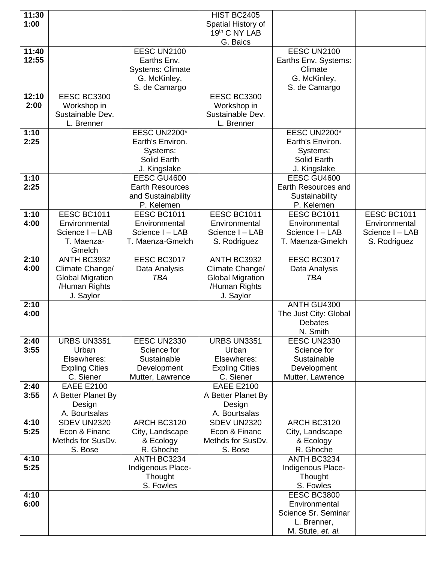| 11:30 |                         |                         | <b>HIST BC2405</b>      |                       |                 |
|-------|-------------------------|-------------------------|-------------------------|-----------------------|-----------------|
| 1:00  |                         |                         | Spatial History of      |                       |                 |
|       |                         |                         | 19th C NY LAB           |                       |                 |
|       |                         |                         | G. Baics                |                       |                 |
| 11:40 |                         | EESC UN2100             |                         | EESC UN2100           |                 |
| 12:55 |                         | Earths Env.             |                         | Earths Env. Systems:  |                 |
|       |                         | <b>Systems: Climate</b> |                         | Climate               |                 |
|       |                         | G. McKinley,            |                         | G. McKinley,          |                 |
|       |                         |                         |                         | S. de Camargo         |                 |
| 12:10 | EESC BC3300             | S. de Camargo           | EESC BC3300             |                       |                 |
|       |                         |                         |                         |                       |                 |
| 2:00  | Workshop in             |                         | Workshop in             |                       |                 |
|       | Sustainable Dev.        |                         | Sustainable Dev.        |                       |                 |
|       | L. Brenner              |                         | L. Brenner              |                       |                 |
| 1:10  |                         | EESC UN2200*            |                         | <b>EESC UN2200*</b>   |                 |
| 2:25  |                         | Earth's Environ.        |                         | Earth's Environ.      |                 |
|       |                         | Systems:                |                         | Systems:              |                 |
|       |                         | Solid Earth             |                         | Solid Earth           |                 |
|       |                         | J. Kingslake            |                         | J. Kingslake          |                 |
| 1:10  |                         | EESC GU4600             |                         | EESC GU4600           |                 |
| 2:25  |                         | <b>Earth Resources</b>  |                         | Earth Resources and   |                 |
|       |                         | and Sustainability      |                         | Sustainability        |                 |
|       |                         | P. Kelemen              |                         | P. Kelemen            |                 |
| 1:10  | EESC BC1011             | EESC BC1011             | EESC BC1011             | EESC BC1011           | EESC BC1011     |
| 4:00  | Environmental           | Environmental           | Environmental           | Environmental         | Environmental   |
|       | Science I - LAB         | Science I - LAB         | Science I - LAB         | Science I - LAB       | Science I - LAB |
|       | T. Maenza-              | T. Maenza-Gmelch        | S. Rodriguez            | T. Maenza-Gmelch      | S. Rodriguez    |
|       | Gmelch                  |                         |                         |                       |                 |
| 2:10  | ANTH BC3932             | <b>EESC BC3017</b>      | ANTH BC3932             | EESC BC3017           |                 |
| 4:00  | Climate Change/         | Data Analysis           | Climate Change/         | Data Analysis         |                 |
|       | <b>Global Migration</b> | <b>TBA</b>              | <b>Global Migration</b> | <b>TBA</b>            |                 |
|       | /Human Rights           |                         | /Human Rights           |                       |                 |
|       | J. Saylor               |                         | J. Saylor               |                       |                 |
| 2:10  |                         |                         |                         | ANTH GU4300           |                 |
| 4:00  |                         |                         |                         | The Just City: Global |                 |
|       |                         |                         |                         | <b>Debates</b>        |                 |
|       |                         |                         |                         | N. Smith              |                 |
| 2:40  | URBS UN3351             | EESC UN2330             | <b>URBS UN3351</b>      | EESC UN2330           |                 |
| 3:55  | Urban                   | Science for             | Urban                   | Science for           |                 |
|       | Elsewheres:             | Sustainable             | Elsewheres:             | Sustainable           |                 |
|       | <b>Expling Cities</b>   | Development             | <b>Expling Cities</b>   | Development           |                 |
|       | C. Siener               | Mutter, Lawrence        | C. Siener               | Mutter, Lawrence      |                 |
| 2:40  | <b>EAEE E2100</b>       |                         | <b>EAEE E2100</b>       |                       |                 |
| 3:55  | A Better Planet By      |                         | A Better Planet By      |                       |                 |
|       | Design                  |                         | Design                  |                       |                 |
|       | A. Bourtsalas           |                         | A. Bourtsalas           |                       |                 |
| 4:10  | SDEV UN2320             | ARCH BC3120             | SDEV UN2320             | ARCH BC3120           |                 |
| 5:25  | Econ & Financ           | City, Landscape         | Econ & Financ           | City, Landscape       |                 |
|       | Methds for SusDv.       | & Ecology               | Methds for SusDv.       | & Ecology             |                 |
|       | S. Bose                 | R. Ghoche               | S. Bose                 | R. Ghoche             |                 |
| 4:10  |                         | ANTH BC3234             |                         | ANTH BC3234           |                 |
| 5:25  |                         | Indigenous Place-       |                         | Indigenous Place-     |                 |
|       |                         | Thought                 |                         | Thought               |                 |
|       |                         | S. Fowles               |                         | S. Fowles             |                 |
| 4:10  |                         |                         |                         | EESC BC3800           |                 |
| 6:00  |                         |                         |                         | Environmental         |                 |
|       |                         |                         |                         | Science Sr. Seminar   |                 |
|       |                         |                         |                         | L. Brenner,           |                 |
|       |                         |                         |                         | M. Stute, et. al.     |                 |
|       |                         |                         |                         |                       |                 |